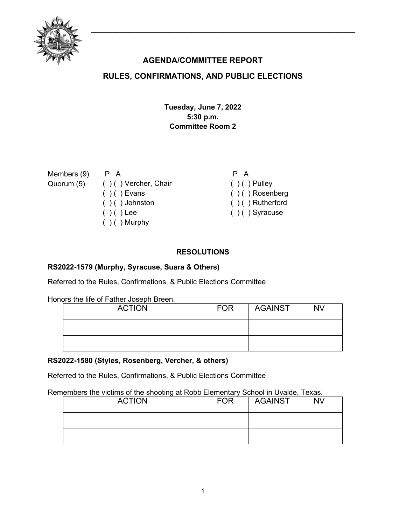

# **AGENDA/COMMITTEE REPORT**

## **RULES, CONFIRMATIONS, AND PUBLIC ELECTIONS**

**Tuesday, June 7, 2022 5:30 p.m. Committee Room 2**

| Members (9) | P A                    | P A                  |
|-------------|------------------------|----------------------|
| Quorum (5)  | ( ) ( ) Vercher, Chair | $( ) ( )$ Pulley     |
|             | $( ) ( )$ Evans        | $( )$ ( ) Rosenberg  |
|             | $( ) ( )$ Johnston     | $( ) ( )$ Rutherford |
|             | $( ) ( )$ Lee          | $( ) ( )$ Syracuse   |
|             | $( )$ ( ) Murphy       |                      |
|             |                        |                      |

### **RESOLUTIONS**

#### **RS2022-1579 (Murphy, Syracuse, Suara & Others)**

Referred to the Rules, Confirmations, & Public Elections Committee

Honors the life of Father Joseph Breen.

| <b>ACTION</b> | <b>FOR</b> | <b>AGAINST</b> | <b>NV</b> |
|---------------|------------|----------------|-----------|
|               |            |                |           |
|               |            |                |           |

#### **RS2022-1580 (Styles, Rosenberg, Vercher, & others)**

Referred to the Rules, Confirmations, & Public Elections Committee

Remembers the victims of the shooting at Robb Elementary School in Uvalde, Texas.

| <b>ACTION</b> | <b>FOR</b> | <b>AGAINST</b> | <b>NV</b> |
|---------------|------------|----------------|-----------|
|               |            |                |           |
|               |            |                |           |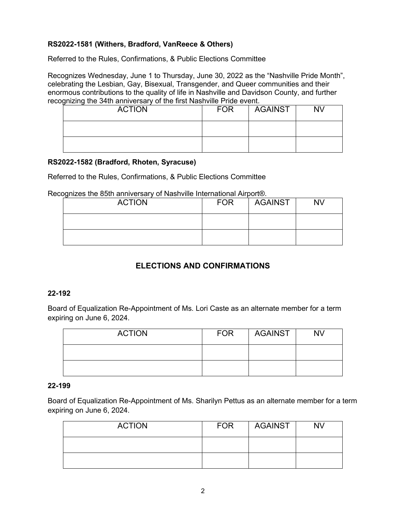### **RS2022-1581 (Withers, Bradford, VanReece & Others)**

Referred to the Rules, Confirmations, & Public Elections Committee

Recognizes Wednesday, June 1 to Thursday, June 30, 2022 as the "Nashville Pride Month", celebrating the Lesbian, Gay, Bisexual, Transgender, and Queer communities and their enormous contributions to the quality of life in Nashville and Davidson County, and further recognizing the 34th anniversary of the first Nashville Pride event.

| <b>ACTION</b> | <b>FOR</b> | <b>AGAINST</b> | <b>NV</b> |
|---------------|------------|----------------|-----------|
|               |            |                |           |
|               |            |                |           |

#### **RS2022-1582 (Bradford, Rhoten, Syracuse)**

Referred to the Rules, Confirmations, & Public Elections Committee

Recognizes the 85th anniversary of Nashville International Airport®.

| <b>ACTION</b> | <b>FOR</b> | <b>AGAINST</b> | <b>NV</b> |
|---------------|------------|----------------|-----------|
|               |            |                |           |
|               |            |                |           |

# **ELECTIONS AND CONFIRMATIONS**

#### **22-192**

Board of Equalization Re-Appointment of Ms. Lori Caste as an alternate member for a term expiring on June 6, 2024.

| <b>ACTION</b> | <b>FOR</b> | AGAINST | <b>NV</b> |
|---------------|------------|---------|-----------|
|               |            |         |           |
|               |            |         |           |

#### **22-199**

Board of Equalization Re-Appointment of Ms. Sharilyn Pettus as an alternate member for a term expiring on June 6, 2024.

| <b>ACTION</b> | <b>FOR</b> | AGAINST | <b>NV</b> |
|---------------|------------|---------|-----------|
|               |            |         |           |
|               |            |         |           |